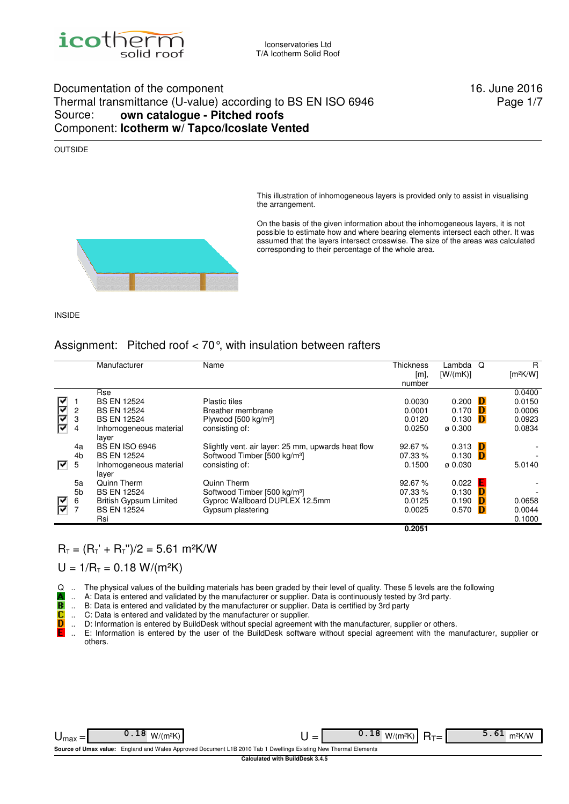

#### Documentation of the component 16. June 2016 Thermal transmittance (U-value) according to BS EN ISO 6946 Source: **own catalogue - Pitched roofs** Component: **Icotherm w/ Tapco/Icoslate Vented**

Page 1/7

#### OUTSIDE

This illustration of inhomogeneous layers is provided only to assist in visualising the arrangement.

On the basis of the given information about the inhomogeneous layers, it is not possible to estimate how and where bearing elements intersect each other. It was assumed that the layers intersect crosswise. The size of the areas was calculated corresponding to their percentage of the whole area.



#### Assignment: Pitched roof < 70°, with insulation between rafters

|    |                | Manufacturer                    | Name                                               | <b>Thickness</b> | Lambda              | Q | R                    |
|----|----------------|---------------------------------|----------------------------------------------------|------------------|---------------------|---|----------------------|
|    |                |                                 |                                                    | [m]              | [W/(mK)]            |   | [m <sup>2</sup> K/W] |
|    |                |                                 |                                                    | number           |                     |   |                      |
|    |                | Rse                             |                                                    |                  |                     |   | 0.0400               |
| r  |                | <b>BS EN 12524</b>              | Plastic tiles                                      | 0.0030           | 0.200               | D | 0.0150               |
| ∣⊽ | 2              | <b>BS EN 12524</b>              | Breather membrane                                  | 0.0001           | 0.170               | Ð | 0.0006               |
|    | 3              | <b>BS EN 12524</b>              | Plywood [500 kg/m <sup>3</sup> ]                   | 0.0120           | 0.130               | D | 0.0923               |
| F  | 4              | Inhomogeneous material<br>layer | consisting of:                                     | 0.0250           | $\varnothing$ 0.300 |   | 0.0834               |
|    | 4a             | <b>BS EN ISO 6946</b>           | Slightly vent. air layer: 25 mm, upwards heat flow | 92.67%           | 0.313               | Ð |                      |
|    | 4 <sub>b</sub> | <b>BS EN 12524</b>              | Softwood Timber [500 kg/m <sup>3</sup> ]           | 07.33 %          | 0.130               | D |                      |
| 罓  | 5              | Inhomogeneous material<br>laver | consisting of:                                     | 0.1500           | ø 0.030             |   | 5.0140               |
|    | 5a             | Quinn Therm                     | Quinn Therm                                        | 92.67%           | 0.022               | E |                      |
|    | 5 <sub>b</sub> | <b>BS EN 12524</b>              | Softwood Timber [500 kg/m <sup>3</sup> ]           | 07.33 %          | 0.130               | Ð |                      |
|    | 6              | <b>British Gypsum Limited</b>   | Gyproc Wallboard DUPLEX 12.5mm                     | 0.0125           | 0.190               | Ð | 0.0658               |
| ę  | $\overline{7}$ | <b>BS EN 12524</b>              | Gypsum plastering                                  | 0.0025           | 0.570               | D | 0.0044               |
|    |                | Rsi                             |                                                    |                  |                     |   | 0.1000               |
|    |                |                                 |                                                    | 0.2051           |                     |   |                      |

#### $R_T = (R_T + R_T)$ " $/2 = 5.61$  m<sup>2</sup>K/W

 $U = 1/R_T = 0.18 W/(m^2K)$ 

Q .. The physical values of the building materials has been graded by their level of quality. These 5 levels are the following

- .. A: Data is entered and validated by the manufacturer or supplier. Data is continuously tested by 3rd party.
- .. B: Data is entered and validated by the manufacturer or supplier. Data is certified by 3rd party
- TB<br>C .. C: Data is entered and validated by the manufacturer or supplier.
- D .. D: Information is entered by BuildDesk without special agreement with the manufacturer, supplier or others.
- .. E: Information is entered by the user of the BuildDesk software without special agreement with the manufacturer, supplier or E others.

|                                                                                                                  | - |  |  |  |  |  |  |  |  |
|------------------------------------------------------------------------------------------------------------------|---|--|--|--|--|--|--|--|--|
| Source of Umax value: England and Wales Approved Document L1B 2010 Tab 1 Dwellings Existing New Thermal Elements |   |  |  |  |  |  |  |  |  |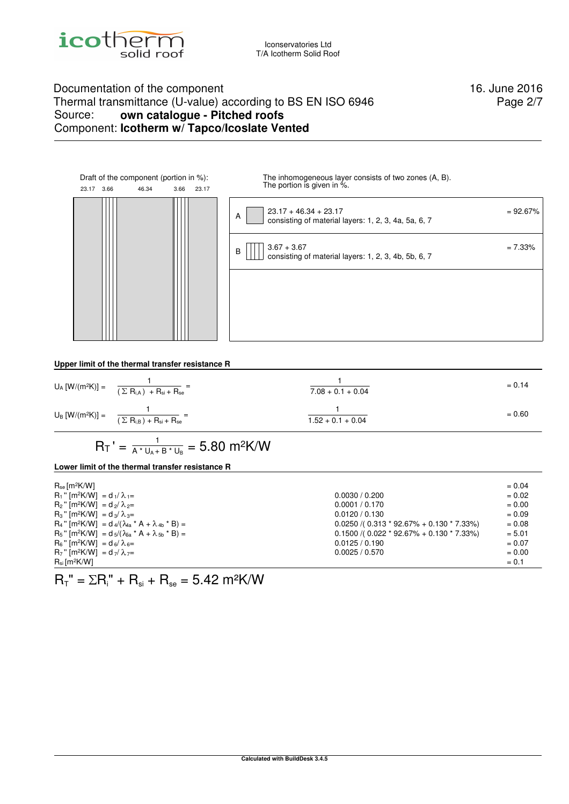

### Documentation of the component 16. June 2016 Thermal transmittance (U-value) according to BS EN ISO 6946 Source: **own catalogue - Pitched roofs** Component: **Icotherm w/ Tapco/Icoslate Vented**

Page 2/7



**Upper limit of the thermal transfer resistance R**

| $U_A [W/(m^2K)] = \frac{1}{(\sum R_{i,A}) + R_{si} + R_{se}} =$ | $7.08 + 0.1 + 0.04$ | $= 0.14$ |
|-----------------------------------------------------------------|---------------------|----------|
| $U_B [W/(m^2K)] = \frac{1}{(\sum R_{i,B}) + R_{si} + R_{se}}$   | $1.52 + 0.1 + 0.04$ | $= 0.60$ |

$$
R_T\>' = \tfrac{1}{A^* \, U_A + B^* \, U_B} = 5.80 \ m^2 K/W
$$

#### **Lower limit of the thermal transfer resistance R**

| $R_{se}$ [m <sup>2</sup> K/W]                                                               |                                                | $= 0.04$ |
|---------------------------------------------------------------------------------------------|------------------------------------------------|----------|
| $R_1$ " [m <sup>2</sup> K/W] = d <sub>1</sub> / $\lambda_1$ =                               | 0.0030 / 0.200                                 | $= 0.02$ |
| $R_2$ " [m <sup>2</sup> K/W] = d <sub>2</sub> / $\lambda_{2}$ =                             | 0.0001 / 0.170                                 | $= 0.00$ |
| $R_3$ " [m <sup>2</sup> K/W] = d <sub>3</sub> / $\lambda_{3}$ =                             | 0.0120 / 0.130                                 | $= 0.09$ |
| $R_4$ " [m <sup>2</sup> K/W] = d <sub>4</sub> /( $\lambda_{4a}$ * A + $\lambda_{4b}$ * B) = | $0.0250$ /( $0.313 * 92.67% + 0.130 * 7.33%$ ) | $= 0.08$ |
| $R_5$ " [m <sup>2</sup> K/W] = $d_5/( \lambda_{5a} * A + \lambda_{5b} * B) =$               | $0.1500$ /( $0.022 * 92.67% + 0.130 * 7.33%$ ) | $= 5.01$ |
| $R_6$ " [m <sup>2</sup> K/W] = d <sub>6</sub> / $\lambda_{6}$ =                             | 0.0125 / 0.190                                 | $= 0.07$ |
| $R_7$ " [m <sup>2</sup> K/W] = d <sub>7</sub> / $\lambda$ <sub>7</sub> =                    | 0.0025 / 0.570                                 | $= 0.00$ |
| $R_{si}$ [m <sup>2</sup> K/W]                                                               |                                                | $= 0.1$  |

 $R_T$ " =  $\Sigma R_i$ " +  $R_{si}$  +  $R_{se}$  = 5.42 m<sup>2</sup>K/W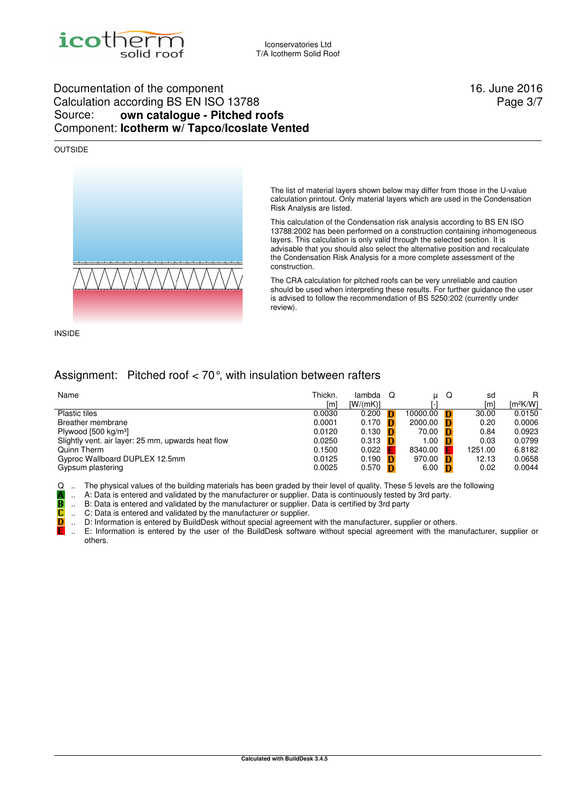

### Documentation of the component 16. June 2016 Calculation according BS EN ISO 13788 Source: **own catalogue - Pitched roofs** Component: **Icotherm w/ Tapco/Icoslate Vented**

#### OUTSIDE



Page 3/7

The list of material layers shown below may differ from those in the U-value calculation printout. Only material layers which are used in the Condensation Risk Analysis are listed.

This calculation of the Condensation risk analysis according to BS EN ISO 13788:2002 has been performed on a construction containing inhomogeneous layers. This calculation is only valid through the selected section. It is advisable that you should also select the alternative position and recalculate the Condensation Risk Analysis for a more complete assessment of the construction.

The CRA calculation for pitched roofs can be very unreliable and caution should be used when interpreting these results. For further guidance the user is advised to follow the recommendation of BS 5250:202 (currently under review).

INSIDE

D

### Assignment: Pitched roof < 70°, with insulation between rafters

| Name                                               | Thickn. | lambda   | - റ | и        | Q | sd      | R                    |
|----------------------------------------------------|---------|----------|-----|----------|---|---------|----------------------|
|                                                    | [m      | [W/(mK)] |     |          |   | [m]     | [m <sup>2</sup> K/W] |
| Plastic tiles                                      | 0.0030  | 0.200    |     | 10000.00 |   | 30.00   | 0.0150               |
| Breather membrane                                  | 0.0001  | 0.170    |     | 2000.00  |   | 0.20    | 0.0006               |
| Plywood $[500 \text{ kg/m}^3]$                     | 0.0120  | 0.130    |     | 70.00    |   | 0.84    | 0.0923               |
| Slightly vent. air layer: 25 mm, upwards heat flow | 0.0250  | 0.313    |     | 1.00     |   | 0.03    | 0.0799               |
| Quinn Therm                                        | 0.1500  | 0.022    |     | 8340.00  |   | 1251.00 | 6.8182               |
| Gyproc Wallboard DUPLEX 12.5mm                     | 0.0125  | 0.190    |     | 970.00   |   | 12.13   | 0.0658               |
| Gypsum plastering                                  | 0.0025  | 0.570    |     | 6.00     |   | 0.02    | 0.0044               |

Q .. The physical values of the building materials has been graded by their level of quality. These 5 levels are the following

.. A: Data is entered and validated by the manufacturer or supplier. Data is continuously tested by 3rd party.

.. B: Data is entered and validated by the manufacturer or supplier. Data is certified by 3rd party

B<br>C .. C: Data is entered and validated by the manufacturer or supplier.

.. D: Information is entered by BuildDesk without special agreement with the manufacturer, supplier or others.

.. E: Information is entered by the user of the BuildDesk software without special agreement with the manufacturer, supplier or others.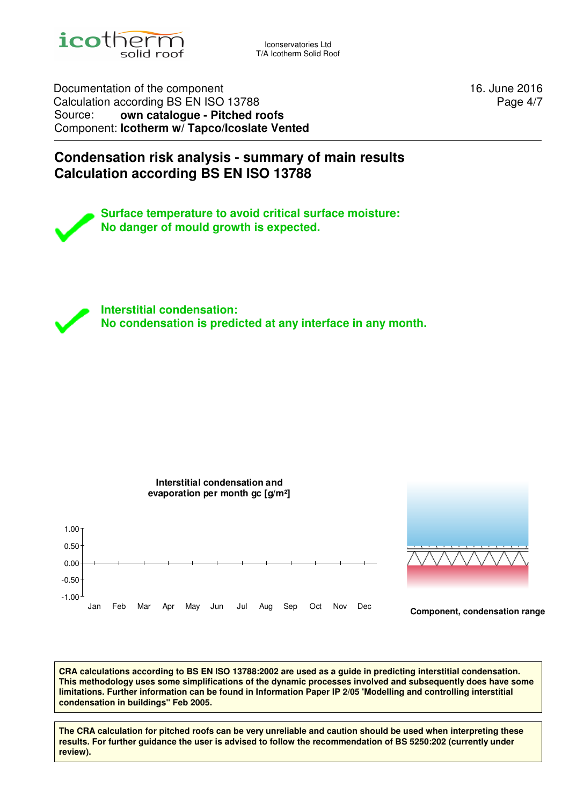

Iconservatories Ltd T/A Icotherm Solid Roof

Documentation of the component 16. June 2016 Calculation according BS EN ISO 13788 Source: **own catalogue - Pitched roofs** Component: **Icotherm w/ Tapco/Icoslate Vented**

Page 4/7

## **Condensation risk analysis - summary of main results Calculation according BS EN ISO 13788**

**Surface temperature to avoid critical surface moisture: No danger of mould growth is expected.**

**Interstitial condensation: No condensation is predicted at any interface in any month.**



**CRA calculations according to BS EN ISO 13788:2002 are used as a guide in predicting interstitial condensation. This methodology uses some simplifications of the dynamic processes involved and subsequently does have some limitations. Further information can be found in Information Paper IP 2/05 'Modelling and controlling interstitial condensation in buildings'' Feb 2005.**

**Calculated with BuildDesk 3.4.5 The CRA calculation for pitched roofs can be very unreliable and caution should be used when interpreting these results. For further guidance the user is advised to follow the recommendation of BS 5250:202 (currently under review).**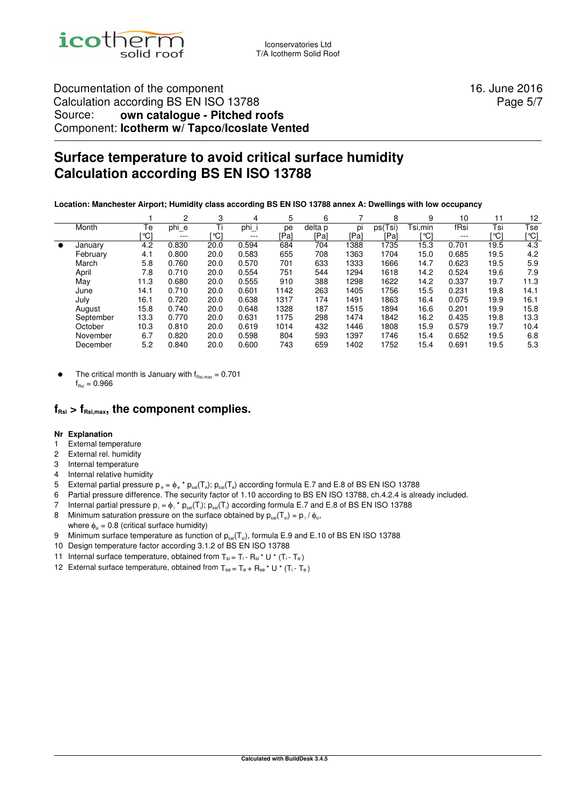

### Documentation of the component 16. June 2016 Calculation according BS EN ISO 13788 Source: **own catalogue - Pitched roofs** Component: **Icotherm w/ Tapco/Icoslate Vented**

Page 5/7

# **Surface temperature to avoid critical surface humidity Calculation according BS EN ISO 13788**

**Location: Manchester Airport; Humidity class according BS EN ISO 13788 annex A: Dwellings with low occupancy** 

|           |           |      | 2       | 3    | 4     | 5    | 6       |      | 8       | 9       | 10       |      | 12   |
|-----------|-----------|------|---------|------|-------|------|---------|------|---------|---------|----------|------|------|
|           | Month     | Te   | phi_e   | Ti   | phi   | pe   | delta p | DI   | ps(Tsi) | Tsi,min | fRsi     | Tsi  | Tse  |
|           |           | [°C] | $- - -$ | [℃]  | $---$ | [Pa] | [Pa]    | [Pa] | [Pa]    | '℃]     | $\cdots$ | [°C] | [℃]  |
| $\bullet$ | January   | 4.2  | 0.830   | 20.0 | 0.594 | 684  | 704     | 1388 | 1735    | 15.3    | 0.701    | 19.5 | 4.3  |
|           | February  | 4.1  | 0.800   | 20.0 | 0.583 | 655  | 708     | 1363 | 1704    | 15.0    | 0.685    | 19.5 | 4.2  |
|           | March     | 5.8  | 0.760   | 20.0 | 0.570 | 701  | 633     | 1333 | 1666    | 14.7    | 0.623    | 19.5 | 5.9  |
|           | April     | 7.8  | 0.710   | 20.0 | 0.554 | 751  | 544     | 1294 | 1618    | 14.2    | 0.524    | 19.6 | 7.9  |
|           | May       | 11.3 | 0.680   | 20.0 | 0.555 | 910  | 388     | 1298 | 1622    | 14.2    | 0.337    | 19.7 | 11.3 |
|           | June      | 14.1 | 0.710   | 20.0 | 0.601 | 1142 | 263     | 1405 | 1756    | 15.5    | 0.231    | 19.8 | 14.1 |
|           | July      | 16.1 | 0.720   | 20.0 | 0.638 | 1317 | 174     | 1491 | 1863    | 16.4    | 0.075    | 19.9 | 16.1 |
|           | August    | 15.8 | 0.740   | 20.0 | 0.648 | 1328 | 187     | 1515 | 1894    | 16.6    | 0.201    | 19.9 | 15.8 |
|           | September | 13.3 | 0.770   | 20.0 | 0.631 | 1175 | 298     | 1474 | 1842    | 16.2    | 0.435    | 19.8 | 13.3 |
|           | October   | 10.3 | 0.810   | 20.0 | 0.619 | 1014 | 432     | 1446 | 1808    | 15.9    | 0.579    | 19.7 | 10.4 |
|           | November  | 6.7  | 0.820   | 20.0 | 0.598 | 804  | 593     | 1397 | 1746    | 15.4    | 0.652    | 19.5 | 6.8  |
|           | December  | 5.2  | 0.840   | 20.0 | 0.600 | 743  | 659     | 1402 | 1752    | 15.4    | 0.691    | 19.5 | 5.3  |

The critical month is January with  $f_{\text{Rsi, max}} = 0.701$  $f_{\text{Poi}} = 0.966$ 

### $f_{\text{Rsi}} > f_{\text{Rsi,max}}$ , the component complies.

#### **Nr Explanation**

- 1 External temperature
- 2 External rel. humidity
- 3 Internal temperature
- 4 Internal relative humidity
- 5 External partial pressure p<sub>e</sub> =  $\phi$  e \*  $p_{sat}(T_e)$ ;  $p_{sat}(T_e)$  according formula E.7 and E.8 of BS EN ISO 13788
- 6 Partial pressure difference. The security factor of 1.10 according to BS EN ISO 13788, ch.4.2.4 is already included.
- 7 Internal partial pressure  $p_i = \phi_i^* p_{sat}(T_i); p_{sat}(T_i)$  according formula E.7 and E.8 of BS EN ISO 13788
- 8 Minimum saturation pressure on the surface obtained by  $p_{sat}(T_{si}) = p_i / \phi_{si}$ , where  $\phi_{si} = 0.8$  (critical surface humidity)
- 9 Minimum surface temperature as function of  $p_{sat}(T_{si})$ , formula E.9 and E.10 of BS EN ISO 13788
- 10 Design temperature factor according 3.1.2 of BS EN ISO 13788
- 11 Internal surface temperature, obtained from  $T_{si} = T_i R_{si} * U * (T_i T_e)$
- 12 External surface temperature, obtained from  $T_{se} = T_e + R_{se} * U * (T_i T_e)$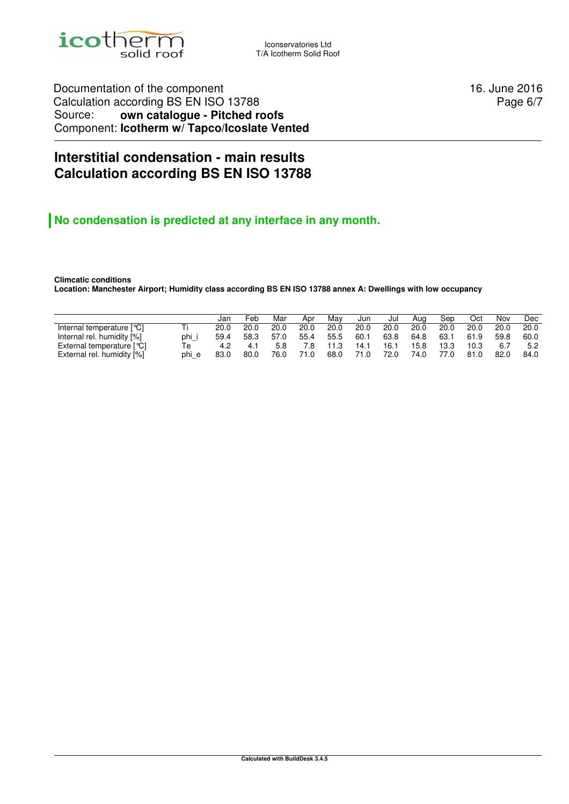

Iconservatories Ltd T/A Icotherm Solid Roof

Documentation of the component 16. June 2016 Calculation according BS EN ISO 13788 Source: **own catalogue - Pitched roofs** Component: **Icotherm w/ Tapco/Icoslate Vented**

Page 6/7

## **Interstitial condensation - main results Calculation according BS EN ISO 13788**

## **No condensation is predicted at any interface in any month.**

**Climcatic conditions Location: Manchester Airport; Humidity class according BS EN ISO 13788 annex A: Dwellings with low occupancy** 

|                             |       | Jan  | Feb  | Mar  | Apr  | Mav  | Jun  | Jul  | Aua  | Sep  | Oct  | Nov  | Dec. |
|-----------------------------|-------|------|------|------|------|------|------|------|------|------|------|------|------|
| Internal temperature [°C]   |       | 20.0 | 20.0 | 20.0 | 20.0 | 20.0 | 20.0 | 20.0 | 20.0 | 20.0 | 20.0 | 20.0 | 20.0 |
| Internal rel. humidity [%]  | phi i | 59.4 | 58.3 | 57.0 | 55.4 | 55.5 | 60.1 | 63.8 | 64.8 | 63.1 | 61.9 | 59.8 | 60.0 |
| External temperature $[°C]$ | Тe    | 4.2  | 4.1  | 5.8  | 7.8  | 11.3 | 14.1 | 16.1 | 15.8 | 13.3 | 10.3 | 6.7  | 5.2  |
| External rel. humidity [%]  | phi e | 83.0 | 80.0 | 76.0 | 71.0 | 68.0 | 71.0 | 72.0 | 74.0 | 77.0 | 81.0 | 82.0 | 84.0 |